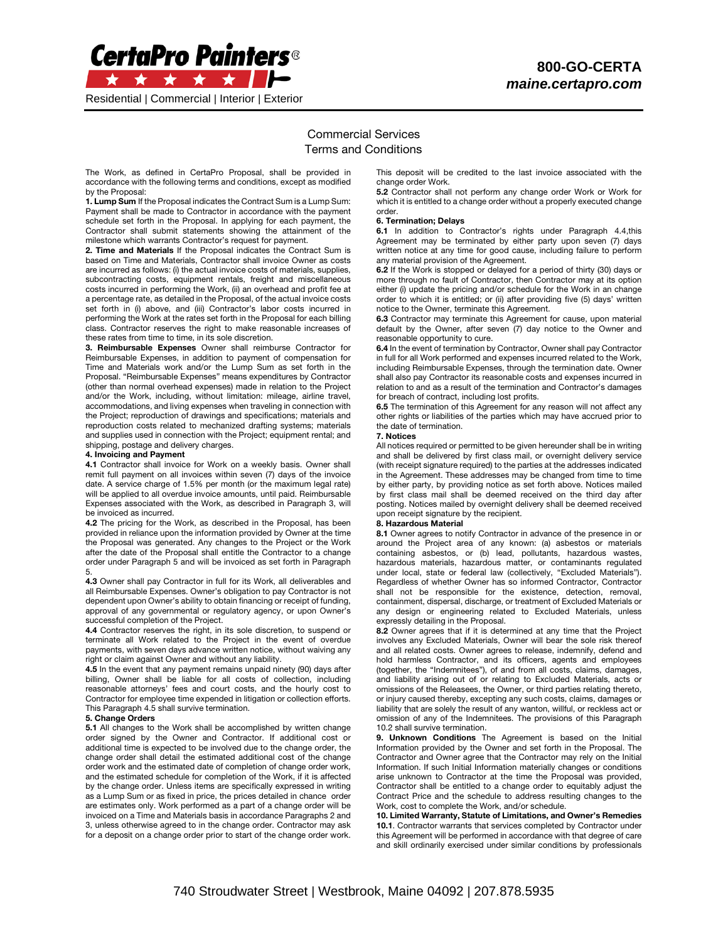

Residential ǀ Commercial ǀ Interior ǀ Exterior

# Commercial Services Terms and Conditions

The Work, as defined in CertaPro Proposal, shall be provided in accordance with the following terms and conditions, except as modified by the Proposal:

1. Lump Sum If the Proposal indicates the Contract Sum is a Lump Sum: Payment shall be made to Contractor in accordance with the payment schedule set forth in the Proposal. In applying for each payment, the Contractor shall submit statements showing the attainment of the milestone which warrants Contractor's request for payment.

2. Time and Materials If the Proposal indicates the Contract Sum is based on Time and Materials, Contractor shall invoice Owner as costs are incurred as follows: (i) the actual invoice costs of materials, supplies, subcontracting costs, equipment rentals, freight and miscellaneous costs incurred in performing the Work, (ii) an overhead and profit fee at a percentage rate, as detailed in the Proposal, of the actual invoice costs set forth in (i) above, and (iii) Contractor's labor costs incurred in performing the Work at the rates set forth in the Proposal for each billing class. Contractor reserves the right to make reasonable increases of these rates from time to time, in its sole discretion.

3. Reimbursable Expenses Owner shall reimburse Contractor for Reimbursable Expenses, in addition to payment of compensation for Time and Materials work and/or the Lump Sum as set forth in the Proposal. "Reimbursable Expenses" means expenditures by Contractor (other than normal overhead expenses) made in relation to the Project and/or the Work, including, without limitation: mileage, airline travel, accommodations, and living expenses when traveling in connection with the Project; reproduction of drawings and specifications; materials and reproduction costs related to mechanized drafting systems; materials and supplies used in connection with the Project; equipment rental; and shipping, postage and delivery charges.

## 4. Invoicing and Payment

4.1 Contractor shall invoice for Work on a weekly basis. Owner shall remit full payment on all invoices within seven (7) days of the invoice date. A service charge of 1.5% per month (or the maximum legal rate) will be applied to all overdue invoice amounts, until paid. Reimbursable Expenses associated with the Work, as described in Paragraph 3, will be invoiced as incurred.

4.2 The pricing for the Work, as described in the Proposal, has been provided in reliance upon the information provided by Owner at the time the Proposal was generated. Any changes to the Project or the Work after the date of the Proposal shall entitle the Contractor to a change order under Paragraph 5 and will be invoiced as set forth in Paragraph 5.

4.3 Owner shall pay Contractor in full for its Work, all deliverables and all Reimbursable Expenses. Owner's obligation to pay Contractor is not dependent upon Owner's ability to obtain financing or receipt of funding, approval of any governmental or regulatory agency, or upon Owner's successful completion of the Project.

4.4 Contractor reserves the right, in its sole discretion, to suspend or terminate all Work related to the Project in the event of overdue payments, with seven days advance written notice, without waiving any right or claim against Owner and without any liability.

4.5 In the event that any payment remains unpaid ninety (90) days after billing, Owner shall be liable for all costs of collection, including reasonable attorneys' fees and court costs, and the hourly cost to Contractor for employee time expended in litigation or collection efforts. This Paragraph 4.5 shall survive termination.

### 5. Change Orders

5.1 All changes to the Work shall be accomplished by written change order signed by the Owner and Contractor. If additional cost or additional time is expected to be involved due to the change order, the change order shall detail the estimated additional cost of the change order work and the estimated date of completion of change order work, and the estimated schedule for completion of the Work, if it is affected by the change order. Unless items are specifically expressed in writing as a Lump Sum or as fixed in price, the prices detailed in chance order are estimates only. Work performed as a part of a change order will be invoiced on a Time and Materials basis in accordance Paragraphs 2 and 3, unless otherwise agreed to in the change order. Contractor may ask for a deposit on a change order prior to start of the change order work.

This deposit will be credited to the last invoice associated with the change order Work.

5.2 Contractor shall not perform any change order Work or Work for which it is entitled to a change order without a properly executed change order.

# 6. Termination; Delays

6.1 In addition to Contractor's rights under Paragraph 4.4,this Agreement may be terminated by either party upon seven (7) days written notice at any time for good cause, including failure to perform any material provision of the Agreement.

6.2 If the Work is stopped or delayed for a period of thirty (30) days or more through no fault of Contractor, then Contractor may at its option either (i) update the pricing and/or schedule for the Work in an change order to which it is entitled; or (ii) after providing five (5) days' written notice to the Owner, terminate this Agreement.

6.3 Contractor may terminate this Agreement for cause, upon material default by the Owner, after seven (7) day notice to the Owner and reasonable opportunity to cure.

6.4 In the event of termination by Contractor, Owner shall pay Contractor in full for all Work performed and expenses incurred related to the Work, including Reimbursable Expenses, through the termination date. Owner shall also pay Contractor its reasonable costs and expenses incurred in relation to and as a result of the termination and Contractor's damages for breach of contract, including lost profits.

6.5 The termination of this Agreement for any reason will not affect any other rights or liabilities of the parties which may have accrued prior to the date of termination.

#### 7. Notices

All notices required or permitted to be given hereunder shall be in writing and shall be delivered by first class mail, or overnight delivery service (with receipt signature required) to the parties at the addresses indicated in the Agreement. These addresses may be changed from time to time by either party, by providing notice as set forth above. Notices mailed by first class mail shall be deemed received on the third day after posting. Notices mailed by overnight delivery shall be deemed received upon receipt signature by the recipient.

#### 8. Hazardous Material

8.1 Owner agrees to notify Contractor in advance of the presence in or around the Project area of any known: (a) asbestos or materials containing asbestos, or (b) lead, pollutants, hazardous wastes, hazardous materials, hazardous matter, or contaminants regulated under local, state or federal law (collectively, "Excluded Materials"). Regardless of whether Owner has so informed Contractor, Contractor shall not be responsible for the existence, detection, removal, containment, dispersal, discharge, or treatment of Excluded Materials or any design or engineering related to Excluded Materials, unless expressly detailing in the Proposal.

8.2 Owner agrees that if it is determined at any time that the Project involves any Excluded Materials, Owner will bear the sole risk thereof and all related costs. Owner agrees to release, indemnify, defend and hold harmless Contractor, and its officers, agents and employees (together, the "Indemnitees"), of and from all costs, claims, damages, and liability arising out of or relating to Excluded Materials, acts or omissions of the Releasees, the Owner, or third parties relating thereto, or injury caused thereby, excepting any such costs, claims, damages or liability that are solely the result of any wanton, willful, or reckless act or omission of any of the Indemnitees. The provisions of this Paragraph 10.2 shall survive termination.

9. Unknown Conditions The Agreement is based on the Initial Information provided by the Owner and set forth in the Proposal. The Contractor and Owner agree that the Contractor may rely on the Initial Information. If such Initial Information materially changes or conditions arise unknown to Contractor at the time the Proposal was provided, Contractor shall be entitled to a change order to equitably adjust the Contract Price and the schedule to address resulting changes to the Work, cost to complete the Work, and/or schedule.

10. Limited Warranty, Statute of Limitations, and Owner's Remedies 10.1. Contractor warrants that services completed by Contractor under this Agreement will be performed in accordance with that degree of care and skill ordinarily exercised under similar conditions by professionals